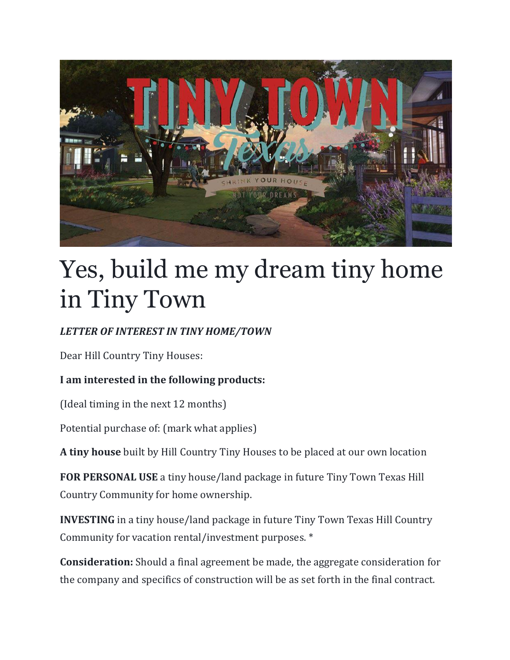

## Yes, build me my dream tiny home in Tiny Town

## *LETTER OF INTEREST IN TINY HOME/TOWN*

Dear Hill Country Tiny Houses:

## **I am interested in the following products:**

(Ideal timing in the next 12 months)

Potential purchase of: (mark what applies)

**A tiny house** built by Hill Country Tiny Houses to be placed at our own location

**FOR PERSONAL USE** a tiny house/land package in future Tiny Town Texas Hill Country Community for home ownership.

**INVESTING** in a tiny house/land package in future Tiny Town Texas Hill Country Community for vacation rental/investment purposes. \*

**Consideration:** Should a final agreement be made, the aggregate consideration for the company and specifics of construction will be as set forth in the final contract.